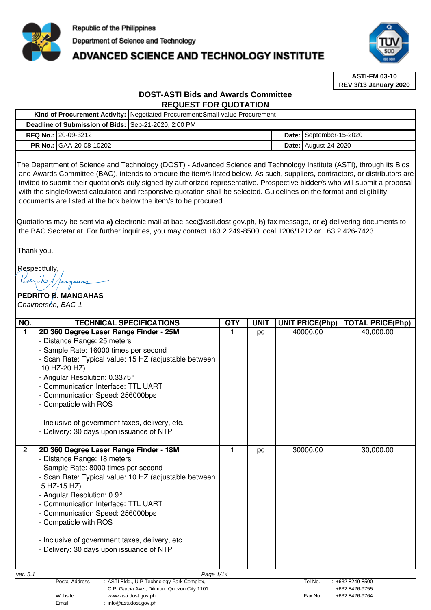

# **ADVANCED SCIENCE AND TECHNOLOGY INSTITUTE**



**ASTI-FM 03-10 REV 3/13 January 2020**

# **DOST-ASTI Bids and Awards Committee REQUEST FOR QUOTATION**

|  |                                                      | Kind of Procurement Activity: Negotiated Procurement: Small-value Procurement |                               |
|--|------------------------------------------------------|-------------------------------------------------------------------------------|-------------------------------|
|  | Deadline of Submission of Bids: Sep-21-2020, 2:00 PM |                                                                               |                               |
|  | <b>RFQ No.: 20-09-3212</b>                           |                                                                               | Date: September-15-2020       |
|  | <b>PR No.: GAA-20-08-10202</b>                       |                                                                               | <b>Date:   August-24-2020</b> |

The Department of Science and Technology (DOST) - Advanced Science and Technology Institute (ASTI), through its Bids and Awards Committee (BAC), intends to procure the item/s listed below. As such, suppliers, contractors, or distributors are invited to submit their quotation/s duly signed by authorized representative. Prospective bidder/s who will submit a proposal with the single/lowest calculated and responsive quotation shall be selected. Guidelines on the format and eligibility documents are listed at the box below the item/s to be procured.

Quotations may be sent via **a)** electronic mail at bac-sec@asti.dost.gov.ph, **b)** fax message, or **c)** delivering documents to the BAC Secretariat. For further inquiries, you may contact +63 2 249-8500 local 1206/1212 or +63 2 426-7423.

Thank you.

Respectfully,

# **PEDRITO B. MANGAHAS**  Chairperson, BAC-1

| NO.          | <b>TECHNICAL SPECIFICATIONS</b>                                                                                                                                                                                                                                                                                                                                                                                         | <b>QTY</b> | <b>UNIT</b> | <b>UNIT PRICE(Php)</b> | <b>TOTAL PRICE(Php)</b> |
|--------------|-------------------------------------------------------------------------------------------------------------------------------------------------------------------------------------------------------------------------------------------------------------------------------------------------------------------------------------------------------------------------------------------------------------------------|------------|-------------|------------------------|-------------------------|
|              | 2D 360 Degree Laser Range Finder - 25M<br>- Distance Range: 25 meters<br>Sample Rate: 16000 times per second<br>Scan Rate: Typical value: 15 HZ (adjustable between<br>10 HZ-20 HZ)<br>- Angular Resolution: 0.3375°<br>- Communication Interface: TTL UART<br>- Communication Speed: 256000bps<br>- Compatible with ROS<br>- Inclusive of government taxes, delivery, etc.<br>- Delivery: 30 days upon issuance of NTP |            | pc          | 40000.00               | 40,000.00               |
| $\mathbf{2}$ | 2D 360 Degree Laser Range Finder - 18M<br>- Distance Range: 18 meters<br>- Sample Rate: 8000 times per second<br>- Scan Rate: Typical value: 10 HZ (adjustable between<br>5 HZ-15 HZ)<br>- Angular Resolution: 0.9°<br>- Communication Interface: TTL UART<br>- Communication Speed: 256000bps<br>- Compatible with ROS<br>- Inclusive of government taxes, delivery, etc.<br>- Delivery: 30 days upon issuance of NTP  | 1          | pc          | 30000.00               | 30,000.00               |
| ver. 5.1     | Page 1/14                                                                                                                                                                                                                                                                                                                                                                                                               |            |             |                        |                         |
|              | Postal Address<br>ASTI Bldg., U.P Technology Park Complex.                                                                                                                                                                                                                                                                                                                                                              |            |             | Tel No.                | +632 8249-8500          |

C.P. Garcia Ave., Diliman, Quezon City 1101 +632 8426-9755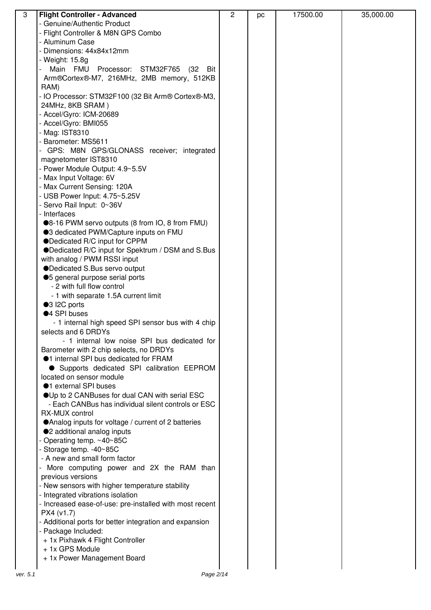| $\overline{3}$ | <b>Flight Controller - Advanced</b>                              | $\overline{2}$ | pc | 17500.00 | 35,000.00 |
|----------------|------------------------------------------------------------------|----------------|----|----------|-----------|
|                | - Genuine/Authentic Product                                      |                |    |          |           |
|                | - Flight Controller & M8N GPS Combo                              |                |    |          |           |
|                | - Aluminum Case                                                  |                |    |          |           |
|                | - Dimensions: 44x84x12mm                                         |                |    |          |           |
|                | - Weight: 15.8g                                                  |                |    |          |           |
|                | Main FMU<br>STM32F765 (32 Bit<br>Processor:                      |                |    |          |           |
|                | Arm®Cortex®-M7, 216MHz, 2MB memory, 512KB                        |                |    |          |           |
|                | RAM)                                                             |                |    |          |           |
|                | - IO Processor: STM32F100 (32 Bit Arm® Cortex®-M3,               |                |    |          |           |
|                | 24MHz, 8KB SRAM)                                                 |                |    |          |           |
|                | - Accel/Gyro: ICM-20689                                          |                |    |          |           |
|                | - Accel/Gyro: BMI055                                             |                |    |          |           |
|                | - Mag: IST8310                                                   |                |    |          |           |
|                | - Barometer: MS5611                                              |                |    |          |           |
|                | - GPS: M8N GPS/GLONASS receiver; integrated                      |                |    |          |           |
|                | magnetometer IST8310                                             |                |    |          |           |
|                | - Power Module Output: 4.9~5.5V                                  |                |    |          |           |
|                | - Max Input Voltage: 6V                                          |                |    |          |           |
|                | - Max Current Sensing: 120A                                      |                |    |          |           |
|                | - USB Power Input: 4.75~5.25V                                    |                |    |          |           |
|                | - Servo Rail Input: 0~36V                                        |                |    |          |           |
|                | - Interfaces                                                     |                |    |          |           |
|                | ●8-16 PWM servo outputs (8 from IO, 8 from FMU)                  |                |    |          |           |
|                | ●3 dedicated PWM/Capture inputs on FMU                           |                |    |          |           |
|                | ●Dedicated R/C input for CPPM                                    |                |    |          |           |
|                | ●Dedicated R/C input for Spektrum / DSM and S.Bus                |                |    |          |           |
|                | with analog / PWM RSSI input                                     |                |    |          |           |
|                | ●Dedicated S.Bus servo output                                    |                |    |          |           |
|                | ●5 general purpose serial ports                                  |                |    |          |           |
|                | - 2 with full flow control                                       |                |    |          |           |
|                | - 1 with separate 1.5A current limit                             |                |    |          |           |
|                | ●3 I2C ports                                                     |                |    |          |           |
|                | ●4 SPI buses                                                     |                |    |          |           |
|                | - 1 internal high speed SPI sensor bus with 4 chip               |                |    |          |           |
|                | selects and 6 DRDYs                                              |                |    |          |           |
|                | - 1 internal low noise SPI bus dedicated for                     |                |    |          |           |
|                | Barometer with 2 chip selects, no DRDYs                          |                |    |          |           |
|                | <b><math>\bullet</math>1</b> internal SPI bus dedicated for FRAM |                |    |          |           |
|                | • Supports dedicated SPI calibration EEPROM                      |                |    |          |           |
|                | located on sensor module                                         |                |    |          |           |
|                | <b>1</b> external SPI buses                                      |                |    |          |           |
|                | OUp to 2 CANBuses for dual CAN with serial ESC                   |                |    |          |           |
|                | - Each CANBus has individual silent controls or ESC              |                |    |          |           |
|                | RX-MUX control                                                   |                |    |          |           |
|                | ● Analog inputs for voltage / current of 2 batteries             |                |    |          |           |
|                | ●2 additional analog inputs                                      |                |    |          |           |
|                | - Operating temp. ~40~85C                                        |                |    |          |           |
|                | - Storage temp. - 40~85C                                         |                |    |          |           |
|                | - A new and small form factor                                    |                |    |          |           |
|                | More computing power and 2X the RAM than                         |                |    |          |           |
|                | previous versions                                                |                |    |          |           |
|                | - New sensors with higher temperature stability                  |                |    |          |           |
|                | - Integrated vibrations isolation                                |                |    |          |           |
|                | - Increased ease-of-use: pre-installed with most recent          |                |    |          |           |
|                | PX4 (v1.7)                                                       |                |    |          |           |
|                | - Additional ports for better integration and expansion          |                |    |          |           |
|                | - Package Included:                                              |                |    |          |           |
|                | + 1x Pixhawk 4 Flight Controller                                 |                |    |          |           |
|                | + 1x GPS Module                                                  |                |    |          |           |
|                | + 1x Power Management Board                                      |                |    |          |           |
|                |                                                                  |                |    |          |           |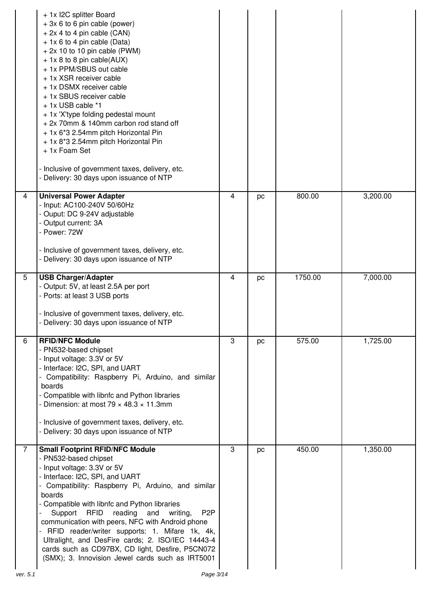|                | + 1x I2C splitter Board<br>+ 3x 6 to 6 pin cable (power)<br>$+ 2x 4$ to 4 pin cable (CAN)<br>+ 1x 6 to 4 pin cable (Data)<br>$+ 2x 10$ to 10 pin cable (PWM)<br>$+$ 1x 8 to 8 pin cable(AUX)<br>+ 1x PPM/SBUS out cable<br>+ 1x XSR receiver cable<br>+ 1x DSMX receiver cable<br>+ 1x SBUS receiver cable<br>+ 1x USB cable *1<br>+ 1x 'X'type folding pedestal mount<br>+ 2x 70mm & 140mm carbon rod stand off<br>+ 1x 6*3 2.54mm pitch Horizontal Pin<br>+ 1x 8*3 2.54mm pitch Horizontal Pin<br>+ 1x Foam Set<br>- Inclusive of government taxes, delivery, etc.<br>- Delivery: 30 days upon issuance of NTP |                |    |         |          |
|----------------|------------------------------------------------------------------------------------------------------------------------------------------------------------------------------------------------------------------------------------------------------------------------------------------------------------------------------------------------------------------------------------------------------------------------------------------------------------------------------------------------------------------------------------------------------------------------------------------------------------------|----------------|----|---------|----------|
| 4              | <b>Universal Power Adapter</b><br>- Input: AC100-240V 50/60Hz<br>- Ouput: DC 9-24V adjustable<br>- Output current: 3A<br>- Power: 72W<br>- Inclusive of government taxes, delivery, etc.                                                                                                                                                                                                                                                                                                                                                                                                                         | $\overline{4}$ | pc | 800.00  | 3,200.00 |
|                | - Delivery: 30 days upon issuance of NTP                                                                                                                                                                                                                                                                                                                                                                                                                                                                                                                                                                         |                |    |         |          |
| 5              | <b>USB Charger/Adapter</b><br>- Output: 5V, at least 2.5A per port<br>- Ports: at least 3 USB ports<br>- Inclusive of government taxes, delivery, etc.<br>- Delivery: 30 days upon issuance of NTP                                                                                                                                                                                                                                                                                                                                                                                                               | 4              | pc | 1750.00 | 7,000.00 |
| $6\phantom{1}$ | <b>RFID/NFC Module</b><br>- PN532-based chipset<br>- Input voltage: 3.3V or 5V<br>- Interface: I2C, SPI, and UART<br>- Compatibility: Raspberry Pi, Arduino, and similar<br>boards<br>- Compatible with libnfc and Python libraries<br>- Dimension: at most $79 \times 48.3 \times 11.3$ mm<br>- Inclusive of government taxes, delivery, etc.<br>- Delivery: 30 days upon issuance of NTP                                                                                                                                                                                                                       | 3              | pc | 575.00  | 1,725.00 |
| $\overline{7}$ | <b>Small Footprint RFID/NFC Module</b><br>- PN532-based chipset<br>- Input voltage: 3.3V or 5V<br>- Interface: I2C, SPI, and UART<br>- Compatibility: Raspberry Pi, Arduino, and similar<br>boards<br>- Compatible with libnfc and Python libraries<br>RFID reading<br>P <sub>2</sub> P<br>Support<br>and<br>writing,<br>communication with peers, NFC with Android phone<br>- RFID reader/writer supports: 1. Mifare 1k, 4k,<br>Ultralight, and DesFire cards; 2. ISO/IEC 14443-4<br>cards such as CD97BX, CD light, Desfire, P5CN072<br>(SMX); 3. Innovision Jewel cards such as IRT5001                       | 3              | pc | 450.00  | 1,350.00 |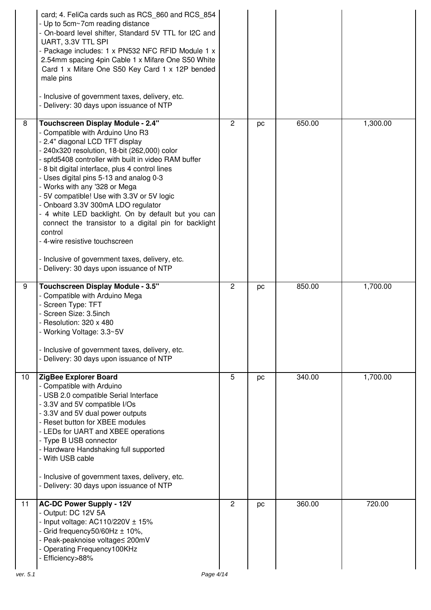|          | card; 4. FeliCa cards such as RCS 860 and RCS 854<br>- Up to 5cm~7cm reading distance<br>- On-board level shifter, Standard 5V TTL for I2C and<br>UART, 3.3V TTL SPI<br>- Package includes: 1 x PN532 NFC RFID Module 1 x<br>2.54mm spacing 4pin Cable 1 x Mifare One S50 White<br>Card 1 x Mifare One S50 Key Card 1 x 12P bended<br>male pins<br>- Inclusive of government taxes, delivery, etc.<br>- Delivery: 30 days upon issuance of NTP                                                                                                                                                                                                                                                        |                |    |        |          |
|----------|-------------------------------------------------------------------------------------------------------------------------------------------------------------------------------------------------------------------------------------------------------------------------------------------------------------------------------------------------------------------------------------------------------------------------------------------------------------------------------------------------------------------------------------------------------------------------------------------------------------------------------------------------------------------------------------------------------|----------------|----|--------|----------|
| 8        | <b>Touchscreen Display Module - 2.4"</b><br>- Compatible with Arduino Uno R3<br>- 2.4" diagonal LCD TFT display<br>- 240x320 resolution, 18-bit (262,000) color<br>- spfd5408 controller with built in video RAM buffer<br>- 8 bit digital interface, plus 4 control lines<br>- Uses digital pins 5-13 and analog 0-3<br>- Works with any '328 or Mega<br>- 5V compatible! Use with 3.3V or 5V logic<br>- Onboard 3.3V 300mA LDO regulator<br>- 4 white LED backlight. On by default but you can<br>connect the transistor to a digital pin for backlight<br>control<br>- 4-wire resistive touchscreen<br>- Inclusive of government taxes, delivery, etc.<br>- Delivery: 30 days upon issuance of NTP | $\overline{2}$ | pc | 650.00 | 1,300.00 |
| 9        | <b>Touchscreen Display Module - 3.5"</b><br>- Compatible with Arduino Mega<br>- Screen Type: TFT<br>- Screen Size: 3.5inch<br>- Resolution: 320 x 480<br>- Working Voltage: 3.3~5V<br>- Inclusive of government taxes, delivery, etc.<br>- Delivery: 30 days upon issuance of NTP                                                                                                                                                                                                                                                                                                                                                                                                                     | $\overline{2}$ | pc | 850.00 | 1,700.00 |
| 10       | ZigBee Explorer Board<br>- Compatible with Arduino<br>- USB 2.0 compatible Serial Interface<br>- 3.3V and 5V compatible I/Os<br>- 3.3V and 5V dual power outputs<br>- Reset button for XBEE modules<br>- LEDs for UART and XBEE operations<br>- Type B USB connector<br>- Hardware Handshaking full supported<br>- With USB cable<br>- Inclusive of government taxes, delivery, etc.<br>- Delivery: 30 days upon issuance of NTP                                                                                                                                                                                                                                                                      | 5              | pc | 340.00 | 1,700.00 |
| 11       | <b>AC-DC Power Supply - 12V</b><br>- Output: DC 12V 5A<br>- Input voltage: AC110/220V $\pm$ 15%<br>- Grid frequency $50/60$ Hz $\pm 10\%$ ,<br>- Peak-peaknoise voltage≤ 200mV<br>- Operating Frequency100KHz<br>- Efficiency>88%                                                                                                                                                                                                                                                                                                                                                                                                                                                                     | 2              | pc | 360.00 | 720.00   |
| ver. 5.1 | Page 4/14                                                                                                                                                                                                                                                                                                                                                                                                                                                                                                                                                                                                                                                                                             |                |    |        |          |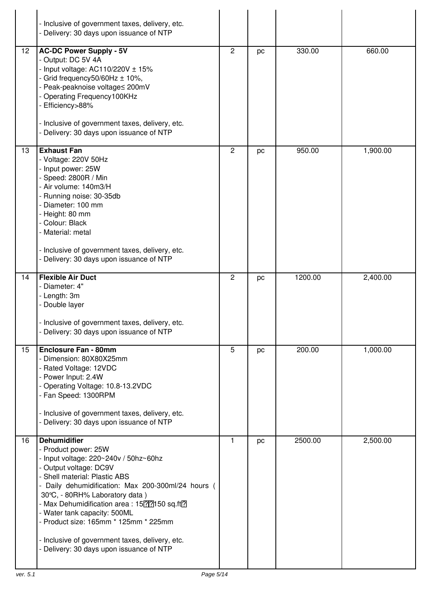|    | - Inclusive of government taxes, delivery, etc.<br>Delivery: 30 days upon issuance of NTP                                                                                                                                                                                                                                                                                                                                                                           |                |    |         |          |
|----|---------------------------------------------------------------------------------------------------------------------------------------------------------------------------------------------------------------------------------------------------------------------------------------------------------------------------------------------------------------------------------------------------------------------------------------------------------------------|----------------|----|---------|----------|
| 12 | <b>AC-DC Power Supply - 5V</b><br>- Output: DC 5V 4A<br>- Input voltage: $AC110/220V \pm 15%$<br>- Grid frequency50/60Hz ± 10%,<br>Peak-peaknoise voltage≤ 200mV<br>- Operating Frequency100KHz<br>- Efficiency>88%<br>- Inclusive of government taxes, delivery, etc.<br>- Delivery: 30 days upon issuance of NTP                                                                                                                                                  | $\overline{c}$ | pc | 330.00  | 660.00   |
| 13 | <b>Exhaust Fan</b><br>- Voltage: 220V 50Hz<br>- Input power: 25W<br>- Speed: 2800R / Min<br>- Air volume: 140m3/H<br>- Running noise: 30-35db<br>- Diameter: 100 mm<br>- Height: 80 mm<br>- Colour: Black<br>- Material: metal<br>- Inclusive of government taxes, delivery, etc.<br>- Delivery: 30 days upon issuance of NTP                                                                                                                                       | $\overline{c}$ | pc | 950.00  | 1,900.00 |
| 14 | <b>Flexible Air Duct</b><br>- Diameter: 4"<br>- Length: 3m<br>- Double layer<br>- Inclusive of government taxes, delivery, etc.<br>- Delivery: 30 days upon issuance of NTP                                                                                                                                                                                                                                                                                         | $\overline{2}$ | pc | 1200.00 | 2,400.00 |
| 15 | <b>Enclosure Fan - 80mm</b><br>- Dimension: 80X80X25mm<br>- Rated Voltage: 12VDC<br>- Power Input: 2.4W<br>- Operating Voltage: 10.8-13.2VDC<br>- Fan Speed: 1300RPM<br>- Inclusive of government taxes, delivery, etc.<br>- Delivery: 30 days upon issuance of NTP                                                                                                                                                                                                 | 5              | pc | 200.00  | 1,000.00 |
| 16 | <b>Dehumidifier</b><br>- Product power: 25W<br>- Input voltage: $220~240v / 50hz~60hz$<br>- Output voltage: DC9V<br>- Shell material: Plastic ABS<br>- Daily dehumidification: Max 200-300ml/24 hours<br>30°C, - 80RH% Laboratory data)<br>- Max Dehumidification area: 15[?]?]150 sq.ft[?]<br>- Water tank capacity: 500ML<br>- Product size: 165mm * 125mm * 225mm<br>- Inclusive of government taxes, delivery, etc.<br>- Delivery: 30 days upon issuance of NTP | 1              | pc | 2500.00 | 2,500.00 |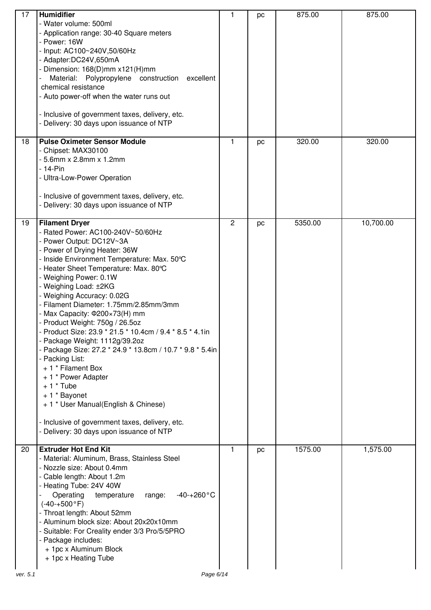| 17 | <b>Humidifier</b><br>- Water volume: 500ml<br>- Application range: 30-40 Square meters<br>- Power: 16W<br>Input: AC100~240V,50/60Hz<br>- Adapter:DC24V,650mA<br>- Dimension: 168(D)mm x121(H)mm<br>Material: Polypropylene construction<br>excellent<br>chemical resistance<br>- Auto power-off when the water runs out<br>- Inclusive of government taxes, delivery, etc.<br>- Delivery: 30 days upon issuance of NTP                                                                                                                                                                                                                                                                                                                                                                                       | 1              | pc | 875.00  | 875.00    |
|----|--------------------------------------------------------------------------------------------------------------------------------------------------------------------------------------------------------------------------------------------------------------------------------------------------------------------------------------------------------------------------------------------------------------------------------------------------------------------------------------------------------------------------------------------------------------------------------------------------------------------------------------------------------------------------------------------------------------------------------------------------------------------------------------------------------------|----------------|----|---------|-----------|
| 18 | <b>Pulse Oximeter Sensor Module</b><br>- Chipset: MAX30100<br>$-5.6$ mm x 2.8mm x 1.2mm<br>$-14$ -Pin<br>- Ultra-Low-Power Operation<br>- Inclusive of government taxes, delivery, etc.<br>Delivery: 30 days upon issuance of NTP                                                                                                                                                                                                                                                                                                                                                                                                                                                                                                                                                                            | 1              | pc | 320.00  | 320.00    |
| 19 | <b>Filament Dryer</b><br>- Rated Power: AC100-240V~50/60Hz<br>- Power Output: DC12V~3A<br>- Power of Drying Heater: 36W<br>- Inside Environment Temperature: Max. 50°C<br>- Heater Sheet Temperature: Max. 80°C<br>- Weighing Power: 0.1W<br>- Weighing Load: ±2KG<br>- Weighing Accuracy: 0.02G<br>- Filament Diameter: 1.75mm/2.85mm/3mm<br>- Max Capacity: 0200×73(H) mm<br>- Product Weight: 750g / 26.5oz<br>- Product Size: 23.9 * 21.5 * 10.4cm / 9.4 * 8.5 * 4.1in<br>- Package Weight: 1112g/39.2oz<br>- Package Size: 27.2 * 24.9 * 13.8cm / 10.7 * 9.8 * 5.4in<br>- Packing List:<br>+ 1 * Filament Box<br>+ 1 * Power Adapter<br>$+1$ * Tube<br>+ 1 * Bayonet<br>+ 1 * User Manual(English & Chinese)<br>Inclusive of government taxes, delivery, etc.<br>Delivery: 30 days upon issuance of NTP | $\overline{c}$ | pc | 5350.00 | 10,700.00 |
| 20 | <b>Extruder Hot End Kit</b><br>- Material: Aluminum, Brass, Stainless Steel<br>- Nozzle size: About 0.4mm<br>- Cable length: About 1.2m<br>- Heating Tube: 24V 40W<br>Operating<br>$-40-+260$ °C<br>temperature<br>range:<br>$(-40 - +500 °F)$<br>- Throat length: About 52mm<br>- Aluminum block size: About 20x20x10mm<br>- Suitable: For Creality ender 3/3 Pro/5/5PRO<br>- Package includes:<br>+ 1pc x Aluminum Block<br>+ 1pc x Heating Tube                                                                                                                                                                                                                                                                                                                                                           | 1              | pc | 1575.00 | 1,575.00  |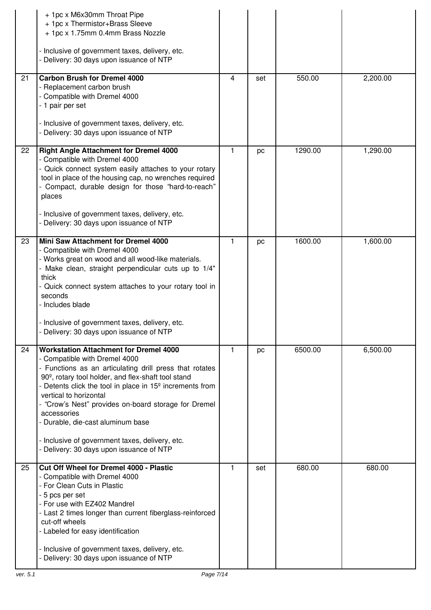|    | + 1pc x M6x30mm Throat Pipe<br>+ 1pc x Thermistor+Brass Sleeve<br>+ 1pc x 1.75mm 0.4mm Brass Nozzle<br>- Inclusive of government taxes, delivery, etc.<br>- Delivery: 30 days upon issuance of NTP                                                                                                                                                                                                                                                                                                                        |              |     |         |          |
|----|---------------------------------------------------------------------------------------------------------------------------------------------------------------------------------------------------------------------------------------------------------------------------------------------------------------------------------------------------------------------------------------------------------------------------------------------------------------------------------------------------------------------------|--------------|-----|---------|----------|
| 21 | <b>Carbon Brush for Dremel 4000</b><br>- Replacement carbon brush<br>- Compatible with Dremel 4000<br>- 1 pair per set<br>- Inclusive of government taxes, delivery, etc.                                                                                                                                                                                                                                                                                                                                                 | 4            | set | 550.00  | 2,200.00 |
|    | Delivery: 30 days upon issuance of NTP                                                                                                                                                                                                                                                                                                                                                                                                                                                                                    |              |     |         |          |
| 22 | <b>Right Angle Attachment for Dremel 4000</b><br>- Compatible with Dremel 4000<br>- Quick connect system easily attaches to your rotary<br>tool in place of the housing cap, no wrenches required<br>- Compact, durable design for those "hard-to-reach"<br>places                                                                                                                                                                                                                                                        | $\mathbf{1}$ | pc  | 1290.00 | 1,290.00 |
|    | - Inclusive of government taxes, delivery, etc.<br>- Delivery: 30 days upon issuance of NTP                                                                                                                                                                                                                                                                                                                                                                                                                               |              |     |         |          |
| 23 | Mini Saw Attachment for Dremel 4000<br>- Compatible with Dremel 4000<br>- Works great on wood and all wood-like materials.<br>- Make clean, straight perpendicular cuts up to 1/4"<br>thick<br>- Quick connect system attaches to your rotary tool in<br>seconds<br>- Includes blade<br>- Inclusive of government taxes, delivery, etc.<br>Delivery: 30 days upon issuance of NTP                                                                                                                                         | 1            | pc  | 1600.00 | 1,600.00 |
| 24 | <b>Workstation Attachment for Dremel 4000</b><br>- Compatible with Dremel 4000<br>- Functions as an articulating drill press that rotates<br>90 <sup>°</sup> , rotary tool holder, and flex-shaft tool stand<br>- Detents click the tool in place in 15 <sup>°</sup> increments from<br>vertical to horizontal<br>- "Crow's Nest" provides on-board storage for Dremel<br>accessories<br>- Durable, die-cast aluminum base<br>- Inclusive of government taxes, delivery, etc.<br>- Delivery: 30 days upon issuance of NTP | 1            | pc  | 6500.00 | 6,500.00 |
| 25 | Cut Off Wheel for Dremel 4000 - Plastic<br>- Compatible with Dremel 4000<br>- For Clean Cuts in Plastic<br>- 5 pcs per set<br>- For use with EZ402 Mandrel<br>- Last 2 times longer than current fiberglass-reinforced<br>cut-off wheels<br>- Labeled for easy identification<br>- Inclusive of government taxes, delivery, etc.<br>- Delivery: 30 days upon issuance of NTP                                                                                                                                              | 1            | set | 680.00  | 680.00   |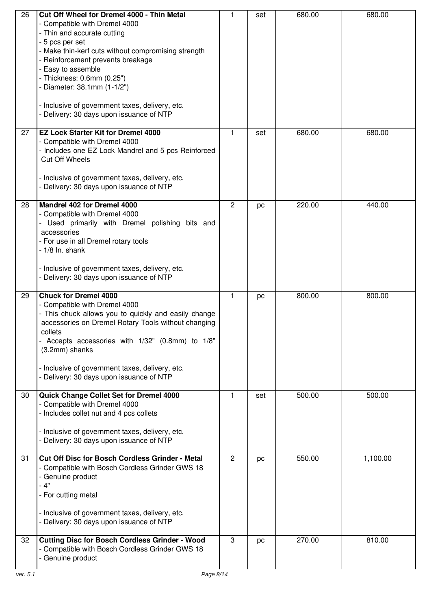| 26 | Cut Off Wheel for Dremel 4000 - Thin Metal<br>- Compatible with Dremel 4000<br>- Thin and accurate cutting<br>- 5 pcs per set<br>- Make thin-kerf cuts without compromising strength<br>- Reinforcement prevents breakage<br>- Easy to assemble                                                                                                          | 1              | set | 680.00 | 680.00   |
|----|----------------------------------------------------------------------------------------------------------------------------------------------------------------------------------------------------------------------------------------------------------------------------------------------------------------------------------------------------------|----------------|-----|--------|----------|
|    | - Thickness: 0.6mm (0.25")<br>- Diameter: 38.1mm (1-1/2")<br>- Inclusive of government taxes, delivery, etc.                                                                                                                                                                                                                                             |                |     |        |          |
|    | - Delivery: 30 days upon issuance of NTP                                                                                                                                                                                                                                                                                                                 |                |     |        |          |
| 27 | <b>EZ Lock Starter Kit for Dremel 4000</b><br>- Compatible with Dremel 4000<br>- Includes one EZ Lock Mandrel and 5 pcs Reinforced<br><b>Cut Off Wheels</b><br>- Inclusive of government taxes, delivery, etc.<br>- Delivery: 30 days upon issuance of NTP                                                                                               | 1              | set | 680.00 | 680.00   |
| 28 | Mandrel 402 for Dremel 4000<br>- Compatible with Dremel 4000<br>Used primarily with Dremel polishing bits and<br>accessories<br>- For use in all Dremel rotary tools<br>$-1/8$ In. shank<br>- Inclusive of government taxes, delivery, etc.<br>- Delivery: 30 days upon issuance of NTP                                                                  | $\overline{2}$ | pc  | 220.00 | 440.00   |
| 29 | <b>Chuck for Dremel 4000</b><br>- Compatible with Dremel 4000<br>- This chuck allows you to quickly and easily change<br>accessories on Dremel Rotary Tools without changing<br>collets<br>Accepts accessories with 1/32" (0.8mm) to 1/8"<br>(3.2mm) shanks<br>- Inclusive of government taxes, delivery, etc.<br>Delivery: 30 days upon issuance of NTP | 1              | pc  | 800.00 | 800.00   |
| 30 | Quick Change Collet Set for Dremel 4000<br>- Compatible with Dremel 4000<br>- Includes collet nut and 4 pcs collets<br>- Inclusive of government taxes, delivery, etc.<br>- Delivery: 30 days upon issuance of NTP                                                                                                                                       | 1              | set | 500.00 | 500.00   |
| 31 | <b>Cut Off Disc for Bosch Cordless Grinder - Metal</b><br>- Compatible with Bosch Cordless Grinder GWS 18<br>- Genuine product<br>$-4"$<br>- For cutting metal<br>- Inclusive of government taxes, delivery, etc.<br>Delivery: 30 days upon issuance of NTP                                                                                              | $\overline{c}$ | pc  | 550.00 | 1,100.00 |
| 32 | <b>Cutting Disc for Bosch Cordless Grinder - Wood</b><br>- Compatible with Bosch Cordless Grinder GWS 18<br>- Genuine product                                                                                                                                                                                                                            | 3              | pc  | 270.00 | 810.00   |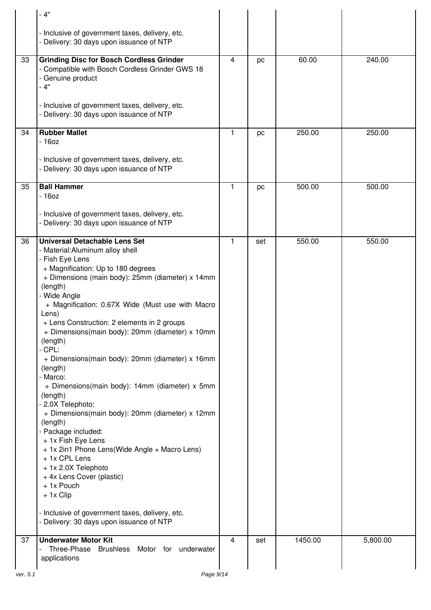|    | $-4"$                                                                                                                                                                                                                                                                                                                                                                                                                                                                                                                                                                                                                                                                                                                                                                                                                                                                                                                        |   |     |         |          |
|----|------------------------------------------------------------------------------------------------------------------------------------------------------------------------------------------------------------------------------------------------------------------------------------------------------------------------------------------------------------------------------------------------------------------------------------------------------------------------------------------------------------------------------------------------------------------------------------------------------------------------------------------------------------------------------------------------------------------------------------------------------------------------------------------------------------------------------------------------------------------------------------------------------------------------------|---|-----|---------|----------|
|    | - Inclusive of government taxes, delivery, etc.<br>- Delivery: 30 days upon issuance of NTP                                                                                                                                                                                                                                                                                                                                                                                                                                                                                                                                                                                                                                                                                                                                                                                                                                  |   |     |         |          |
| 33 | <b>Grinding Disc for Bosch Cordless Grinder</b><br>- Compatible with Bosch Cordless Grinder GWS 18<br>Genuine product<br>- 4"<br>- Inclusive of government taxes, delivery, etc.                                                                                                                                                                                                                                                                                                                                                                                                                                                                                                                                                                                                                                                                                                                                             | 4 | pc  | 60.00   | 240.00   |
|    | Delivery: 30 days upon issuance of NTP                                                                                                                                                                                                                                                                                                                                                                                                                                                                                                                                                                                                                                                                                                                                                                                                                                                                                       |   |     |         |          |
| 34 | <b>Rubber Mallet</b><br>$-160z$                                                                                                                                                                                                                                                                                                                                                                                                                                                                                                                                                                                                                                                                                                                                                                                                                                                                                              | 1 | pc  | 250.00  | 250.00   |
|    | - Inclusive of government taxes, delivery, etc.<br>Delivery: 30 days upon issuance of NTP                                                                                                                                                                                                                                                                                                                                                                                                                                                                                                                                                                                                                                                                                                                                                                                                                                    |   |     |         |          |
| 35 | <b>Ball Hammer</b><br>$-160z$                                                                                                                                                                                                                                                                                                                                                                                                                                                                                                                                                                                                                                                                                                                                                                                                                                                                                                | 1 | pc  | 500.00  | 500.00   |
|    | - Inclusive of government taxes, delivery, etc.<br>Delivery: 30 days upon issuance of NTP                                                                                                                                                                                                                                                                                                                                                                                                                                                                                                                                                                                                                                                                                                                                                                                                                                    |   |     |         |          |
| 36 | <b>Universal Detachable Lens Set</b><br>- Material: Aluminum alloy shell<br>- Fish Eye Lens<br>+ Magnification: Up to 180 degrees<br>+ Dimensions (main body): 25mm (diameter) x 14mm<br>(length)<br>- Wide Angle<br>+ Magnification: 0.67X Wide (Must use with Macro<br>Lens)<br>+ Lens Construction: 2 elements in 2 groups<br>+ Dimensions(main body): 20mm (diameter) x 10mm<br>(length)<br>- CPL:<br>+ Dimensions(main body): 20mm (diameter) x 16mm<br>(length)<br>- Marco:<br>+ Dimensions(main body): 14mm (diameter) x 5mm<br>(length)<br>2.0X Telephoto:<br>+ Dimensions(main body): 20mm (diameter) x 12mm<br>(length)<br>- Package included:<br>+ 1x Fish Eye Lens<br>+ 1x 2in1 Phone Lens(Wide Angle + Macro Lens)<br>+ 1x CPL Lens<br>+ 1x 2.0X Telephoto<br>+ 4x Lens Cover (plastic)<br>+ 1x Pouch<br>+ 1x Clip<br>- Inclusive of government taxes, delivery, etc.<br>Delivery: 30 days upon issuance of NTP | 1 | set | 550.00  | 550.00   |
| 37 | <b>Underwater Motor Kit</b><br>Three-Phase<br><b>Brushless</b><br>Motor for<br>underwater                                                                                                                                                                                                                                                                                                                                                                                                                                                                                                                                                                                                                                                                                                                                                                                                                                    | 4 | set | 1450.00 | 5,800.00 |
|    | applications                                                                                                                                                                                                                                                                                                                                                                                                                                                                                                                                                                                                                                                                                                                                                                                                                                                                                                                 |   |     |         |          |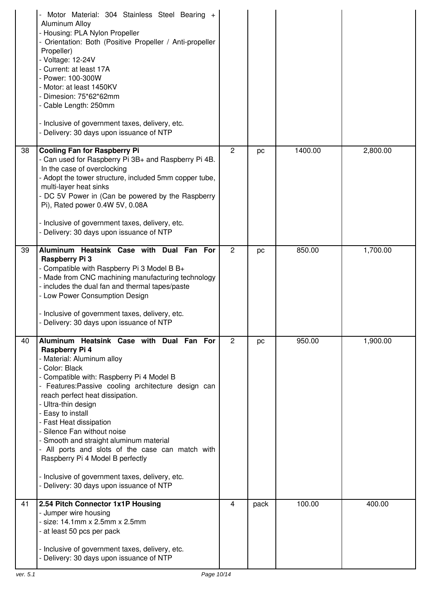|    | Motor Material: 304 Stainless Steel Bearing +<br>Aluminum Alloy<br>- Housing: PLA Nylon Propeller<br>- Orientation: Both (Positive Propeller / Anti-propeller<br>Propeller)<br>- Voltage: 12-24V<br>- Current: at least 17A<br>- Power: 100-300W<br>- Motor: at least 1450KV<br>- Dimesion: 75*62*62mm<br>- Cable Length: 250mm<br>- Inclusive of government taxes, delivery, etc.<br>- Delivery: 30 days upon issuance of NTP                                                                                                                                                            |                |      |         |          |
|----|-------------------------------------------------------------------------------------------------------------------------------------------------------------------------------------------------------------------------------------------------------------------------------------------------------------------------------------------------------------------------------------------------------------------------------------------------------------------------------------------------------------------------------------------------------------------------------------------|----------------|------|---------|----------|
| 38 | <b>Cooling Fan for Raspberry Pi</b><br>- Can used for Raspberry Pi 3B+ and Raspberry Pi 4B.<br>In the case of overclocking<br>- Adopt the tower structure, included 5mm copper tube,<br>multi-layer heat sinks<br>- DC 5V Power in (Can be powered by the Raspberry<br>Pi), Rated power 0.4W 5V, 0.08A<br>- Inclusive of government taxes, delivery, etc.<br>- Delivery: 30 days upon issuance of NTP                                                                                                                                                                                     | $\overline{2}$ | pc   | 1400.00 | 2,800.00 |
| 39 | Aluminum Heatsink Case with Dual Fan For<br>Raspberry Pi 3<br>- Compatible with Raspberry Pi 3 Model B B+<br>- Made from CNC machining manufacturing technology<br>- includes the dual fan and thermal tapes/paste<br>- Low Power Consumption Design<br>- Inclusive of government taxes, delivery, etc.<br>- Delivery: 30 days upon issuance of NTP                                                                                                                                                                                                                                       | $\overline{2}$ | pc   | 850.00  | 1,700.00 |
| 40 | Aluminum Heatsink Case with Dual Fan For<br>Raspberry Pi 4<br>- Material: Aluminum alloy<br>- Color: Black<br>- Compatible with: Raspberry Pi 4 Model B<br>- Features: Passive cooling architecture design can<br>reach perfect heat dissipation.<br>- Ultra-thin design<br>- Easy to install<br>- Fast Heat dissipation<br>- Silence Fan without noise<br>- Smooth and straight aluminum material<br>- All ports and slots of the case can match with<br>Raspberry Pi 4 Model B perfectly<br>- Inclusive of government taxes, delivery, etc.<br>- Delivery: 30 days upon issuance of NTP | $\overline{2}$ | pc   | 950.00  | 1,900.00 |
| 41 | 2.54 Pitch Connector 1x1P Housing<br>- Jumper wire housing<br>- size: 14.1mm x 2.5mm x 2.5mm<br>- at least 50 pcs per pack<br>- Inclusive of government taxes, delivery, etc.<br>- Delivery: 30 days upon issuance of NTP                                                                                                                                                                                                                                                                                                                                                                 | $\overline{4}$ | pack | 100.00  | 400.00   |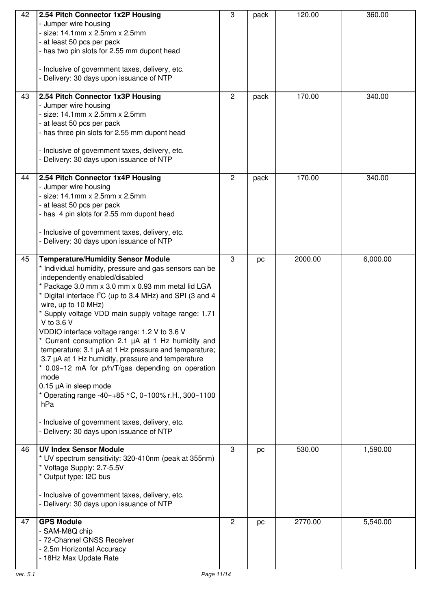| 42<br>43 | 2.54 Pitch Connector 1x2P Housing<br>- Jumper wire housing<br>- size: 14.1mm x 2.5mm x 2.5mm<br>- at least 50 pcs per pack<br>- has two pin slots for 2.55 mm dupont head<br>- Inclusive of government taxes, delivery, etc.<br>- Delivery: 30 days upon issuance of NTP<br>2.54 Pitch Connector 1x3P Housing                                                                                                                                                                                                                                                                                                                                                                                                                                                                                                                                       | 3<br>2         | pack<br>pack | 120.00<br>170.00 | 360.00<br>340.00 |
|----------|-----------------------------------------------------------------------------------------------------------------------------------------------------------------------------------------------------------------------------------------------------------------------------------------------------------------------------------------------------------------------------------------------------------------------------------------------------------------------------------------------------------------------------------------------------------------------------------------------------------------------------------------------------------------------------------------------------------------------------------------------------------------------------------------------------------------------------------------------------|----------------|--------------|------------------|------------------|
|          | - Jumper wire housing<br>$-$ size: 14.1mm x 2.5mm x 2.5mm<br>- at least 50 pcs per pack<br>- has three pin slots for 2.55 mm dupont head<br>- Inclusive of government taxes, delivery, etc.<br>Delivery: 30 days upon issuance of NTP                                                                                                                                                                                                                                                                                                                                                                                                                                                                                                                                                                                                               |                |              |                  |                  |
| 44       | 2.54 Pitch Connector 1x4P Housing<br>- Jumper wire housing<br>- size: 14.1mm x 2.5mm x 2.5mm<br>- at least 50 pcs per pack<br>- has 4 pin slots for 2.55 mm dupont head<br>- Inclusive of government taxes, delivery, etc.<br>- Delivery: 30 days upon issuance of NTP                                                                                                                                                                                                                                                                                                                                                                                                                                                                                                                                                                              | $\overline{2}$ | pack         | 170.00           | 340.00           |
| 45       | <b>Temperature/Humidity Sensor Module</b><br>* Individual humidity, pressure and gas sensors can be<br>independently enabled/disabled<br>* Package 3.0 mm x 3.0 mm x 0.93 mm metal lid LGA<br>* Digital interface I <sup>2</sup> C (up to 3.4 MHz) and SPI (3 and 4<br>wire, up to 10 MHz)<br>* Supply voltage VDD main supply voltage range: 1.71<br>V to 3.6 V<br>VDDIO interface voltage range: 1.2 V to 3.6 V<br>Current consumption 2.1 µA at 1 Hz humidity and<br>temperature; 3.1 µA at 1 Hz pressure and temperature;<br>3.7 µA at 1 Hz humidity, pressure and temperature<br>* 0.09-12 mA for p/h/T/gas depending on operation<br>mode<br>$0.15 \mu A$ in sleep mode<br>* Operating range -40-+85 $\degree$ C, 0-100% r.H., 300-1100<br>hPa<br>- Inclusive of government taxes, delivery, etc.<br>- Delivery: 30 days upon issuance of NTP | 3              | pc           | 2000.00          | 6,000.00         |
| 46       | <b>UV Index Sensor Module</b><br>* UV spectrum sensitivity: 320-410nm (peak at 355nm)<br>* Voltage Supply: 2.7-5.5V<br>Output type: I2C bus<br>- Inclusive of government taxes, delivery, etc.<br>- Delivery: 30 days upon issuance of NTP                                                                                                                                                                                                                                                                                                                                                                                                                                                                                                                                                                                                          | 3              | pc           | 530.00           | 1,590.00         |
| 47       | <b>GPS Module</b><br>- SAM-M8Q chip<br>- 72-Channel GNSS Receiver<br>- 2.5m Horizontal Accuracy<br>- 18Hz Max Update Rate                                                                                                                                                                                                                                                                                                                                                                                                                                                                                                                                                                                                                                                                                                                           | $\overline{c}$ | pc           | 2770.00          | 5,540.00         |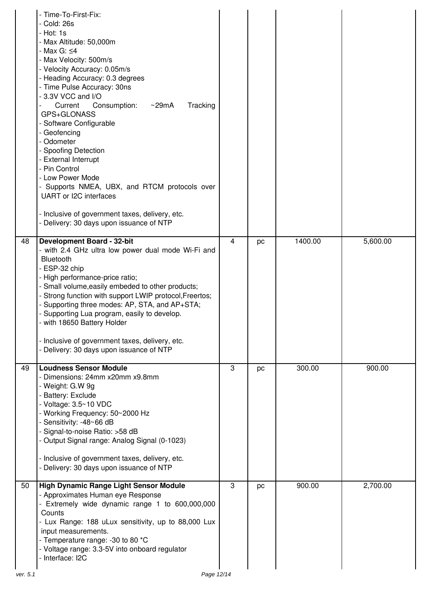|                | - Time-To-First-Fix:<br>- Cold: 26s<br>- Hot: 1s<br>- Max Altitude: 50,000m<br>- Max G: ≤4<br>- Max Velocity: 500m/s<br>- Velocity Accuracy: 0.05m/s<br>- Heading Accuracy: 0.3 degrees<br>- Time Pulse Accuracy: 30ns<br>- 3.3V VCC and I/O<br>$\sim$ 29mA<br>Tracking<br>Consumption:<br>Current<br>GPS+GLONASS<br>- Software Configurable<br>- Geofencing<br>- Odometer<br>- Spoofing Detection<br>- External Interrupt<br>- Pin Control<br>- Low Power Mode<br>- Supports NMEA, UBX, and RTCM protocols over<br>UART or I2C interfaces<br>- Inclusive of government taxes, delivery, etc.<br>- Delivery: 30 days upon issuance of NTP |   |    |         |          |
|----------------|-------------------------------------------------------------------------------------------------------------------------------------------------------------------------------------------------------------------------------------------------------------------------------------------------------------------------------------------------------------------------------------------------------------------------------------------------------------------------------------------------------------------------------------------------------------------------------------------------------------------------------------------|---|----|---------|----------|
| 48             | <b>Development Board - 32-bit</b><br>- with 2.4 GHz ultra low power dual mode Wi-Fi and<br>Bluetooth<br>- ESP-32 chip<br>- High performance-price ratio;<br>- Small volume, easily embeded to other products;<br>Strong function with support LWIP protocol, Freertos;<br>- Supporting three modes: AP, STA, and AP+STA;<br>- Supporting Lua program, easily to develop.<br>- with 18650 Battery Holder<br>- Inclusive of government taxes, delivery, etc.<br>- Delivery: 30 days upon issuance of NTP                                                                                                                                    | 4 | pc | 1400.00 | 5,600.00 |
| 49             | <b>Loudness Sensor Module</b><br>- Dimensions: 24mm x20mm x9.8mm<br>- Weight: G.W 9g<br>- Battery: Exclude<br>- Voltage: 3.5~10 VDC<br>- Working Frequency: 50~2000 Hz<br>- Sensitivity: -48~66 dB<br>- Signal-to-noise Ratio: >58 dB<br>- Output Signal range: Analog Signal (0-1023)<br>- Inclusive of government taxes, delivery, etc.<br>- Delivery: 30 days upon issuance of NTP                                                                                                                                                                                                                                                     | 3 | pc | 300.00  | 900.00   |
| 50<br>ver. 5.1 | High Dynamic Range Light Sensor Module<br>- Approximates Human eye Response<br>- Extremely wide dynamic range 1 to 600,000,000<br>Counts<br>- Lux Range: 188 uLux sensitivity, up to 88,000 Lux<br>input measurements.<br>- Temperature range: -30 to 80 *C<br>- Voltage range: 3.3-5V into onboard regulator<br>- Interface: I2C<br>Page 12/14                                                                                                                                                                                                                                                                                           | 3 | pc | 900.00  | 2,700.00 |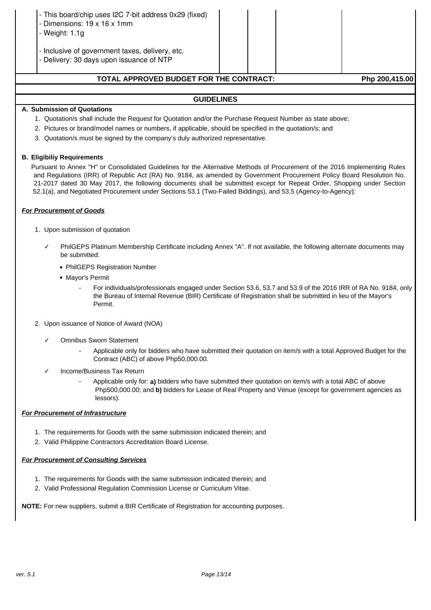| TOTAL ABBBOVED BUDGET EOB THE CONTRACT.                                                                |  | <b>Dhn 200 445 001</b> |
|--------------------------------------------------------------------------------------------------------|--|------------------------|
| - Inclusive of government taxes, delivery, etc.<br>- Delivery: 30 days upon issuance of NTP            |  |                        |
| - This board/chip uses I2C 7-bit address 0x29 (fixed)<br>- Dimensions: 19 x 16 x 1mm<br>- Weight: 1.1g |  |                        |

# **TOTAL APPROVED BUDGET FOR THE CONTRACT: Php 200,415.00**

# **GUIDELINES**

#### **A. Submission of Quotations**

- 1. Quotation/s shall include the Request for Quotation and/or the Purchase Request Number as state above;
- 2. Pictures or brand/model names or numbers, if applicable, should be specified in the quotation/s; and
- 3. Quotation/s must be signed by the company's duly authorized representative.

#### **B. Eligibiliy Requirements**

Pursuant to Annex "H" or Consolidated Guidelines for the Alternative Methods of Procurement of the 2016 Implementing Rules and Regulations (IRR) of Republic Act (RA) No. 9184, as amended by Government Procurement Policy Board Resolution No. 21-2017 dated 30 May 2017, the following documents shall be submitted except for Repeat Order, Shopping under Section 52.1(a), and Negotiated Procurement under Sections 53.1 (Two-Failed Biddings), and 53.5 (Agency-to-Agency):

#### **For Procurement of Goods**

- 1. Upon submission of quotation
	- PhilGEPS Platinum Membership Certificate including Annex "A". If not available, the following alternate documents may be submitted:
		- PhilGEPS Registration Number
		- Mayor's Permit
			- For individuals/professionals engaged under Section 53.6, 53.7 and 53.9 of the 2016 IRR of RA No. 9184, only the Bureau of Internal Revenue (BIR) Certificate of Registration shall be submitted in lieu of the Mayor's Permit.
- 2. Upon issuance of Notice of Award (NOA)
	- ✓ Omnibus Sworn Statement
		- Applicable only for bidders who have submitted their quotation on item/s with a total Approved Budget for the Contract (ABC) of above Php50,000.00.
	- Income/Business Tax Return
		- Applicable only for: **a)** bidders who have submitted their quotation on item/s with a total ABC of above Php500,000.00; and **b)** bidders for Lease of Real Property and Venue (except for government agencies as lessors).

## **For Procurement of Infrastructure**

- 1. The requirements for Goods with the same submission indicated therein; and
- 2. Valid Philippine Contractors Accreditation Board License.

## **For Procurement of Consulting Services**

- 1. The requirements for Goods with the same submission indicated therein; and
- 2. Valid Professional Regulation Commission License or Curriculum Vitae.

**NOTE:** For new suppliers, submit a BIR Certificate of Registration for accounting purposes.